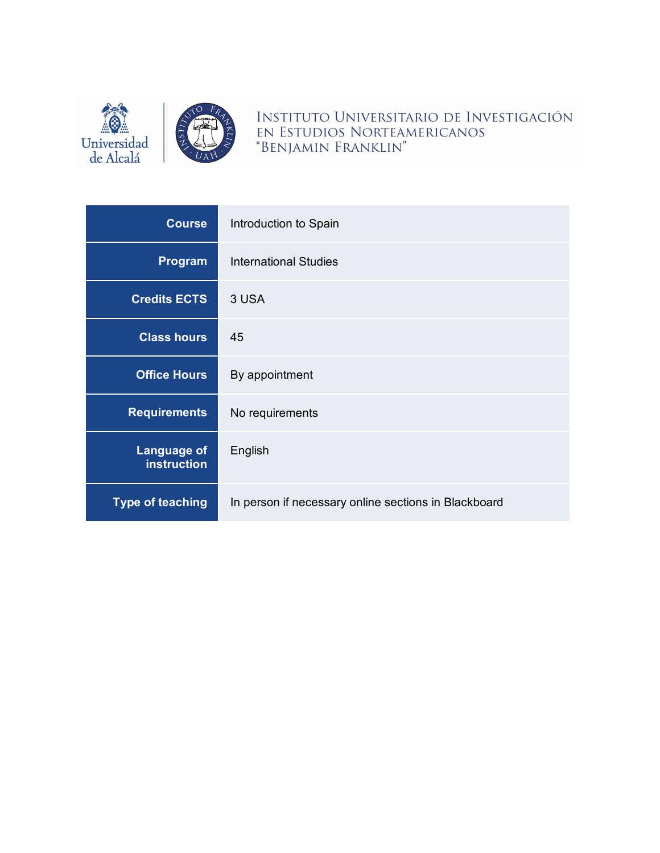

INSTITUTO UNIVERSITARIO DE INVESTIGACIÓN EN ESTUDIOS NORTEAMERICANOS "BENJAMIN FRANKLIN"

| <b>Course</b>                            | Introduction to Spain                                |
|------------------------------------------|------------------------------------------------------|
| Program                                  | <b>International Studies</b>                         |
| <b>Credits ECTS</b>                      | 3 USA                                                |
| <b>Class hours</b>                       | 45                                                   |
| <b>Office Hours</b>                      | By appointment                                       |
| <b>Requirements</b>                      | No requirements                                      |
| <b>Language of</b><br><b>instruction</b> | English                                              |
| <b>Type of teaching</b>                  | In person if necessary online sections in Blackboard |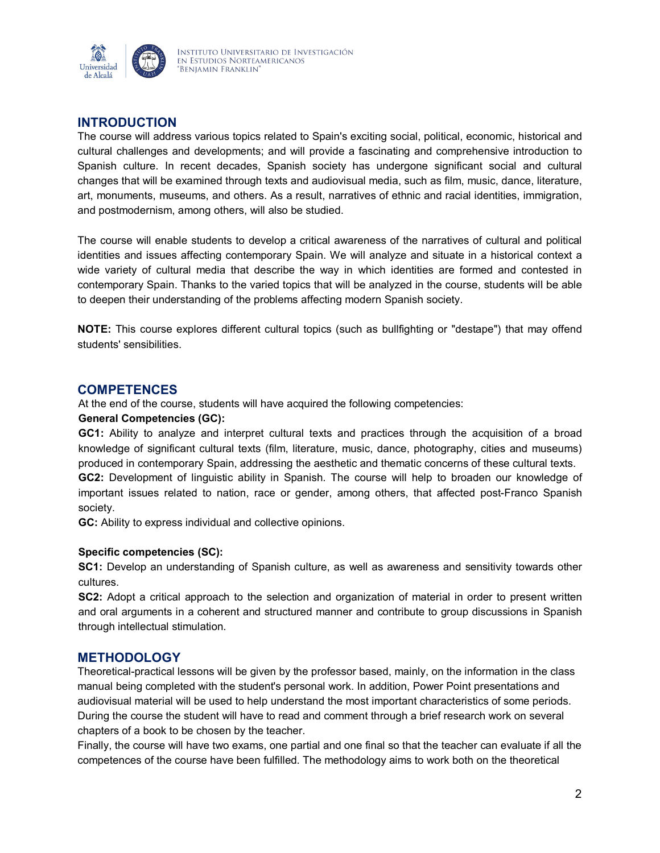

# **INTRODUCTION**

The course will address various topics related to Spain's exciting social, political, economic, historical and cultural challenges and developments; and will provide a fascinating and comprehensive introduction to Spanish culture. In recent decades, Spanish society has undergone significant social and cultural changes that will be examined through texts and audiovisual media, such as film, music, dance, literature, art, monuments, museums, and others. As a result, narratives of ethnic and racial identities, immigration, and postmodernism, among others, will also be studied.

The course will enable students to develop a critical awareness of the narratives of cultural and political identities and issues affecting contemporary Spain. We will analyze and situate in a historical context a wide variety of cultural media that describe the way in which identities are formed and contested in contemporary Spain. Thanks to the varied topics that will be analyzed in the course, students will be able to deepen their understanding of the problems affecting modern Spanish society.

**NOTE:** This course explores different cultural topics (such as bullfighting or "destape") that may offend students' sensibilities.

### **COMPETENCES**

At the end of the course, students will have acquired the following competencies:

#### **General Competencies (GC):**

**GC1:** Ability to analyze and interpret cultural texts and practices through the acquisition of a broad knowledge of significant cultural texts (film, literature, music, dance, photography, cities and museums) produced in contemporary Spain, addressing the aesthetic and thematic concerns of these cultural texts. **GC2:** Development of linguistic ability in Spanish. The course will help to broaden our knowledge of important issues related to nation, race or gender, among others, that affected post-Franco Spanish society.

**GC:** Ability to express individual and collective opinions.

#### **Specific competencies (SC):**

**SC1:** Develop an understanding of Spanish culture, as well as awareness and sensitivity towards other cultures.

**SC2:** Adopt a critical approach to the selection and organization of material in order to present written and oral arguments in a coherent and structured manner and contribute to group discussions in Spanish through intellectual stimulation.

## **METHODOLOGY**

Theoretical-practical lessons will be given by the professor based, mainly, on the information in the class manual being completed with the student's personal work. In addition, Power Point presentations and audiovisual material will be used to help understand the most important characteristics of some periods. During the course the student will have to read and comment through a brief research work on several chapters of a book to be chosen by the teacher.

Finally, the course will have two exams, one partial and one final so that the teacher can evaluate if all the competences of the course have been fulfilled. The methodology aims to work both on the theoretical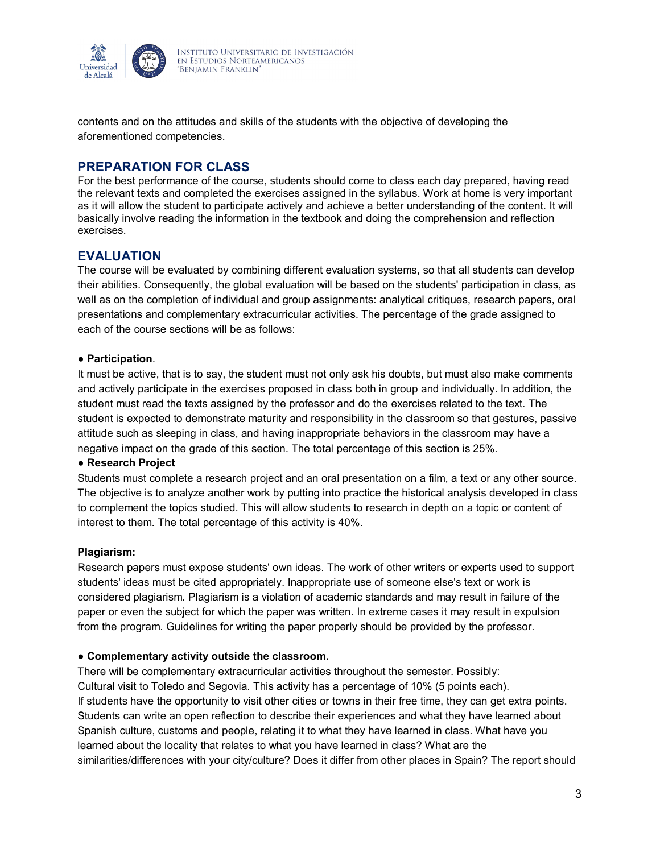

contents and on the attitudes and skills of the students with the objective of developing the aforementioned competencies.

## **PREPARATION FOR CLASS**

For the best performance of the course, students should come to class each day prepared, having read the relevant texts and completed the exercises assigned in the syllabus. Work at home is very important as it will allow the student to participate actively and achieve a better understanding of the content. It will basically involve reading the information in the textbook and doing the comprehension and reflection exercises.

## **EVALUATION**

The course will be evaluated by combining different evaluation systems, so that all students can develop their abilities. Consequently, the global evaluation will be based on the students' participation in class, as well as on the completion of individual and group assignments: analytical critiques, research papers, oral presentations and complementary extracurricular activities. The percentage of the grade assigned to each of the course sections will be as follows:

#### ● **Participation**.

It must be active, that is to say, the student must not only ask his doubts, but must also make comments and actively participate in the exercises proposed in class both in group and individually. In addition, the student must read the texts assigned by the professor and do the exercises related to the text. The student is expected to demonstrate maturity and responsibility in the classroom so that gestures, passive attitude such as sleeping in class, and having inappropriate behaviors in the classroom may have a negative impact on the grade of this section. The total percentage of this section is 25%.

#### ● **Research Project**

Students must complete a research project and an oral presentation on a film, a text or any other source. The objective is to analyze another work by putting into practice the historical analysis developed in class to complement the topics studied. This will allow students to research in depth on a topic or content of interest to them. The total percentage of this activity is 40%.

#### **Plagiarism:**

Research papers must expose students' own ideas. The work of other writers or experts used to support students' ideas must be cited appropriately. Inappropriate use of someone else's text or work is considered plagiarism. Plagiarism is a violation of academic standards and may result in failure of the paper or even the subject for which the paper was written. In extreme cases it may result in expulsion from the program. Guidelines for writing the paper properly should be provided by the professor.

#### ● **Complementary activity outside the classroom.**

There will be complementary extracurricular activities throughout the semester. Possibly: Cultural visit to Toledo and Segovia. This activity has a percentage of 10% (5 points each). If students have the opportunity to visit other cities or towns in their free time, they can get extra points. Students can write an open reflection to describe their experiences and what they have learned about Spanish culture, customs and people, relating it to what they have learned in class. What have you learned about the locality that relates to what you have learned in class? What are the similarities/differences with your city/culture? Does it differ from other places in Spain? The report should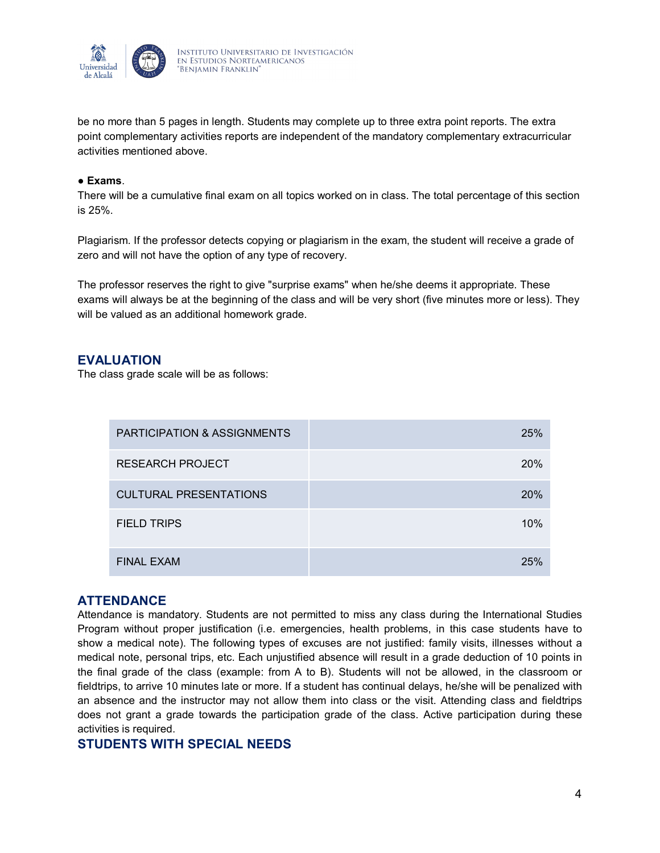

be no more than 5 pages in length. Students may complete up to three extra point reports. The extra point complementary activities reports are independent of the mandatory complementary extracurricular activities mentioned above.

#### ● **Exams**.

There will be a cumulative final exam on all topics worked on in class. The total percentage of this section is 25%.

Plagiarism. If the professor detects copying or plagiarism in the exam, the student will receive a grade of zero and will not have the option of any type of recovery.

The professor reserves the right to give "surprise exams" when he/she deems it appropriate. These exams will always be at the beginning of the class and will be very short (five minutes more or less). They will be valued as an additional homework grade.

### **EVALUATION**

The class grade scale will be as follows:

| <b>PARTICIPATION &amp; ASSIGNMENTS</b> | 25%        |
|----------------------------------------|------------|
| <b>RESEARCH PROJECT</b>                | <b>20%</b> |
| <b>CULTURAL PRESENTATIONS</b>          | 20%        |
| <b>FIELD TRIPS</b>                     | 10%        |
| <b>FINAL EXAM</b>                      | 25%        |

#### **ATTENDANCE**

Attendance is mandatory. Students are not permitted to miss any class during the International Studies Program without proper justification (i.e. emergencies, health problems, in this case students have to show a medical note). The following types of excuses are not justified: family visits, illnesses without a medical note, personal trips, etc. Each unjustified absence will result in a grade deduction of 10 points in the final grade of the class (example: from A to B). Students will not be allowed, in the classroom or fieldtrips, to arrive 10 minutes late or more. If a student has continual delays, he/she will be penalized with an absence and the instructor may not allow them into class or the visit. Attending class and fieldtrips does not grant a grade towards the participation grade of the class. Active participation during these activities is required.

#### **STUDENTS WITH SPECIAL NEEDS**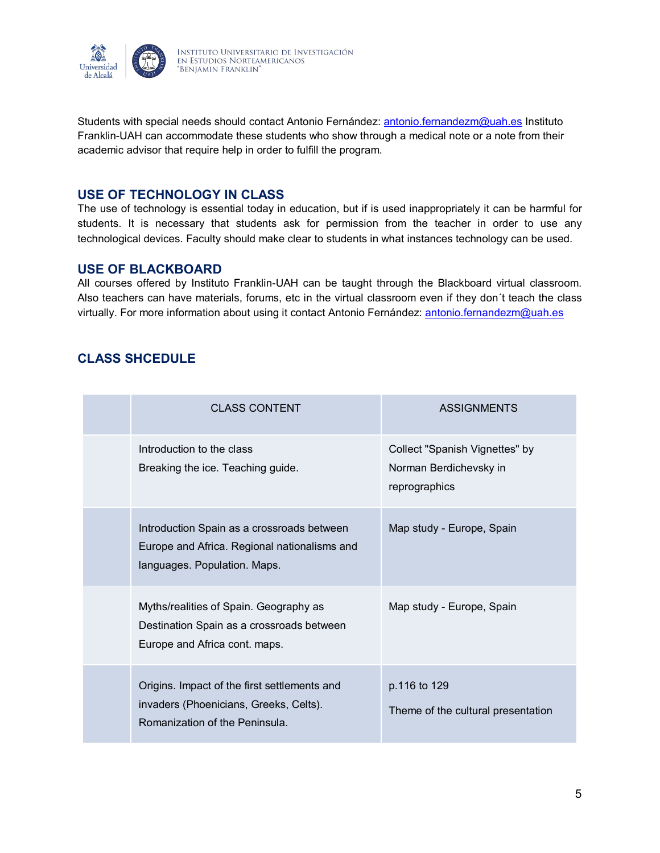

Students with special needs should contact Antonio Fernández: [antonio.fernandezm@uah.es](mailto:antonio.fernandezm@uah.es) Instituto Franklin-UAH can accommodate these students who show through a medical note or a note from their academic advisor that require help in order to fulfill the program.

### **USE OF TECHNOLOGY IN CLASS**

The use of technology is essential today in education, but if is used inappropriately it can be harmful for students. It is necessary that students ask for permission from the teacher in order to use any technological devices. Faculty should make clear to students in what instances technology can be used.

#### **USE OF BLACKBOARD**

All courses offered by Instituto Franklin-UAH can be taught through the Blackboard virtual classroom. Also teachers can have materials, forums, etc in the virtual classroom even if they don´t teach the class virtually. For more information about using it contact Antonio Fernández: [antonio.fernandezm@uah.es](mailto:antonio.fernandezm@uah.es)

# **CLASS SHCEDULE**

| <b>CLASS CONTENT</b>                                                                                                       | <b>ASSIGNMENTS</b>                                                        |
|----------------------------------------------------------------------------------------------------------------------------|---------------------------------------------------------------------------|
| Introduction to the class<br>Breaking the ice. Teaching guide.                                                             | Collect "Spanish Vignettes" by<br>Norman Berdichevsky in<br>reprographics |
| Introduction Spain as a crossroads between<br>Europe and Africa. Regional nationalisms and<br>languages. Population. Maps. | Map study - Europe, Spain                                                 |
| Myths/realities of Spain. Geography as<br>Destination Spain as a crossroads between<br>Europe and Africa cont. maps.       | Map study - Europe, Spain                                                 |
| Origins. Impact of the first settlements and<br>invaders (Phoenicians, Greeks, Celts).<br>Romanization of the Peninsula.   | p.116 to 129<br>Theme of the cultural presentation                        |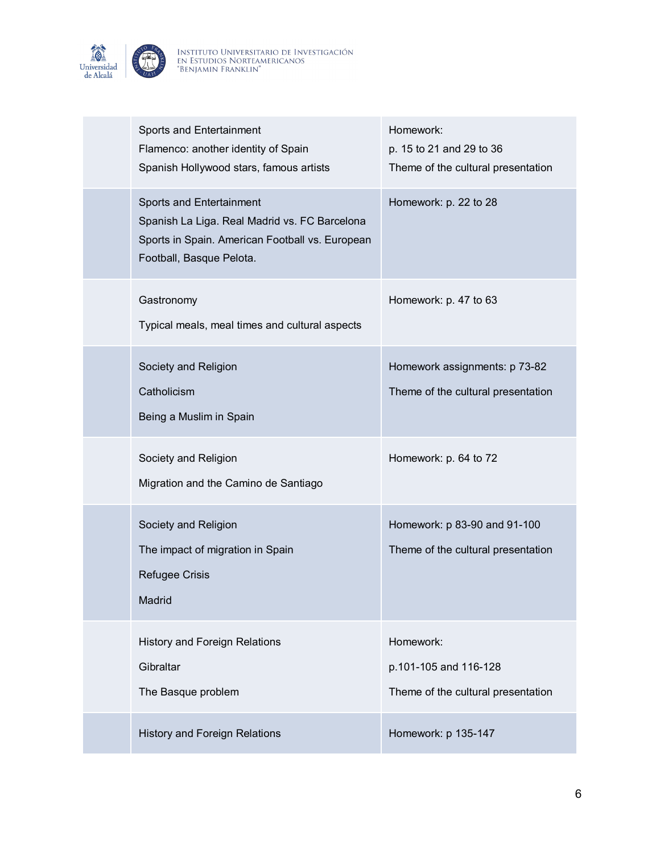

| Sports and Entertainment<br>Flamenco: another identity of Spain<br>Spanish Hollywood stars, famous artists                                               | Homework:<br>p. 15 to 21 and 29 to 36<br>Theme of the cultural presentation |
|----------------------------------------------------------------------------------------------------------------------------------------------------------|-----------------------------------------------------------------------------|
| Sports and Entertainment<br>Spanish La Liga. Real Madrid vs. FC Barcelona<br>Sports in Spain. American Football vs. European<br>Football, Basque Pelota. | Homework: p. 22 to 28                                                       |
| Gastronomy<br>Typical meals, meal times and cultural aspects                                                                                             | Homework: p. 47 to 63                                                       |
| Society and Religion<br>Catholicism<br>Being a Muslim in Spain                                                                                           | Homework assignments: p 73-82<br>Theme of the cultural presentation         |
| Society and Religion<br>Migration and the Camino de Santiago                                                                                             | Homework: p. 64 to 72                                                       |
| Society and Religion<br>The impact of migration in Spain<br>Refugee Crisis<br>Madrid                                                                     | Homework: p 83-90 and 91-100<br>Theme of the cultural presentation          |
| <b>History and Foreign Relations</b><br>Gibraltar<br>The Basque problem                                                                                  | Homework:<br>p.101-105 and 116-128<br>Theme of the cultural presentation    |
| <b>History and Foreign Relations</b>                                                                                                                     | Homework: p 135-147                                                         |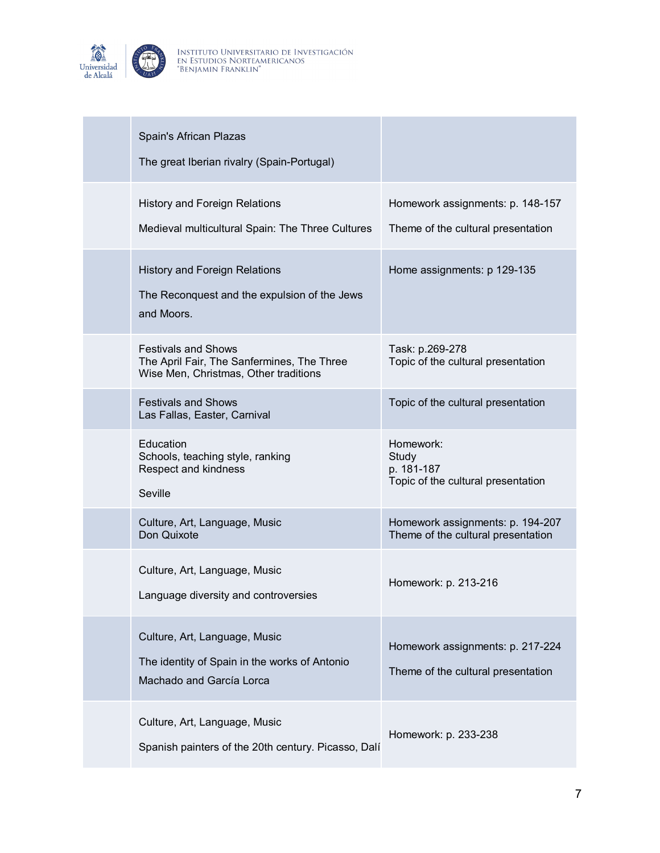

| Spain's African Plazas<br>The great Iberian rivalry (Spain-Portugal)                                              |                                                                        |
|-------------------------------------------------------------------------------------------------------------------|------------------------------------------------------------------------|
| <b>History and Foreign Relations</b><br>Medieval multicultural Spain: The Three Cultures                          | Homework assignments: p. 148-157<br>Theme of the cultural presentation |
| <b>History and Foreign Relations</b><br>The Reconquest and the expulsion of the Jews<br>and Moors.                | Home assignments: p 129-135                                            |
| <b>Festivals and Shows</b><br>The April Fair, The Sanfermines, The Three<br>Wise Men, Christmas, Other traditions | Task: p.269-278<br>Topic of the cultural presentation                  |
| <b>Festivals and Shows</b><br>Las Fallas, Easter, Carnival                                                        | Topic of the cultural presentation                                     |
| Education<br>Schools, teaching style, ranking<br>Respect and kindness<br>Seville                                  | Homework:<br>Study<br>p. 181-187<br>Topic of the cultural presentation |
| Culture, Art, Language, Music<br>Don Quixote                                                                      | Homework assignments: p. 194-207<br>Theme of the cultural presentation |
| Culture, Art, Language, Music<br>Language diversity and controversies                                             | Homework: p. 213-216                                                   |
| Culture, Art, Language, Music<br>The identity of Spain in the works of Antonio<br>Machado and García Lorca        | Homework assignments: p. 217-224<br>Theme of the cultural presentation |
| Culture, Art, Language, Music<br>Spanish painters of the 20th century. Picasso, Dalí                              | Homework: p. 233-238                                                   |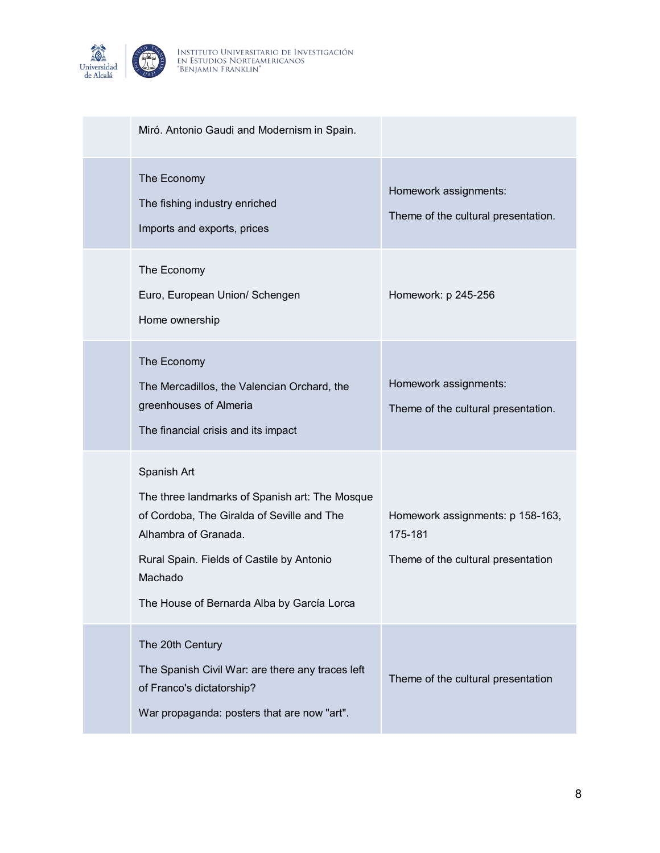

| Miró. Antonio Gaudi and Modernism in Spain.                                                                                                                                                                                               |                                                                                   |
|-------------------------------------------------------------------------------------------------------------------------------------------------------------------------------------------------------------------------------------------|-----------------------------------------------------------------------------------|
| The Economy<br>The fishing industry enriched<br>Imports and exports, prices                                                                                                                                                               | Homework assignments:<br>Theme of the cultural presentation.                      |
| The Economy<br>Euro, European Union/ Schengen<br>Home ownership                                                                                                                                                                           | Homework: p 245-256                                                               |
| The Economy<br>The Mercadillos, the Valencian Orchard, the<br>greenhouses of Almeria<br>The financial crisis and its impact                                                                                                               | Homework assignments:<br>Theme of the cultural presentation.                      |
| Spanish Art<br>The three landmarks of Spanish art: The Mosque<br>of Cordoba, The Giralda of Seville and The<br>Alhambra of Granada.<br>Rural Spain. Fields of Castile by Antonio<br>Machado<br>The House of Bernarda Alba by García Lorca | Homework assignments: p 158-163,<br>175-181<br>Theme of the cultural presentation |
| The 20th Century<br>The Spanish Civil War: are there any traces left<br>of Franco's dictatorship?<br>War propaganda: posters that are now "art".                                                                                          | Theme of the cultural presentation                                                |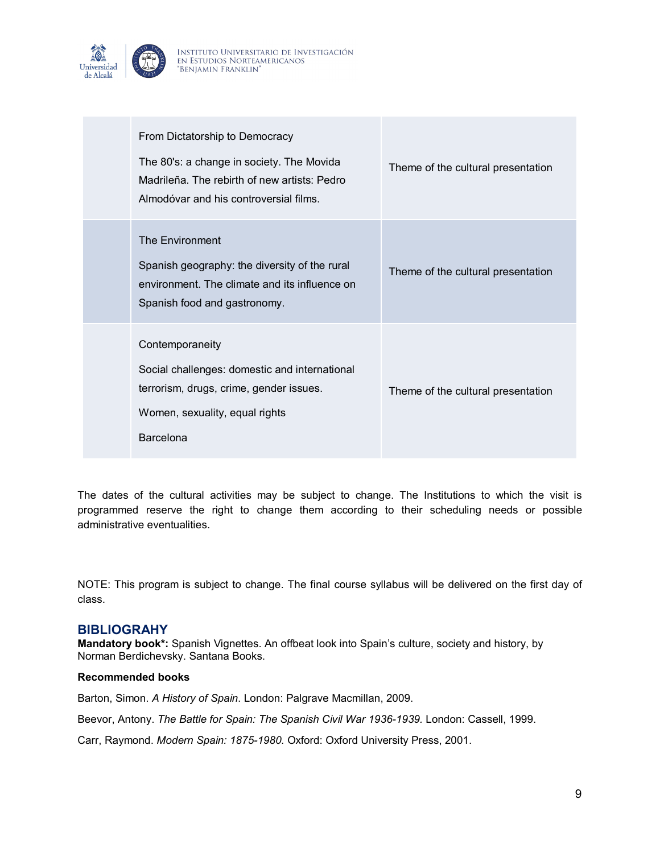

| From Dictatorship to Democracy<br>The 80's: a change in society. The Movida<br>Madrileña. The rebirth of new artists: Pedro<br>Almodóvar and his controversial films. | Theme of the cultural presentation |
|-----------------------------------------------------------------------------------------------------------------------------------------------------------------------|------------------------------------|
| The Environment<br>Spanish geography: the diversity of the rural<br>environment. The climate and its influence on<br>Spanish food and gastronomy.                     | Theme of the cultural presentation |
| Contemporaneity<br>Social challenges: domestic and international<br>terrorism, drugs, crime, gender issues.<br>Women, sexuality, equal rights<br>Barcelona            | Theme of the cultural presentation |

The dates of the cultural activities may be subject to change. The Institutions to which the visit is programmed reserve the right to change them according to their scheduling needs or possible administrative eventualities.

NOTE: This program is subject to change. The final course syllabus will be delivered on the first day of class.

#### **BIBLIOGRAHY**

**Mandatory book\*:** Spanish Vignettes. An offbeat look into Spain's culture, society and history, by Norman Berdichevsky. Santana Books.

#### **Recommended books**

Barton, Simon. *A History of Spain*. London: Palgrave Macmillan, 2009.

Beevor, Antony. *The Battle for Spain: The Spanish Civil War 1936-1939.* London: Cassell, 1999.

Carr, Raymond. *Modern Spain: 1875-1980.* Oxford: Oxford University Press, 2001.